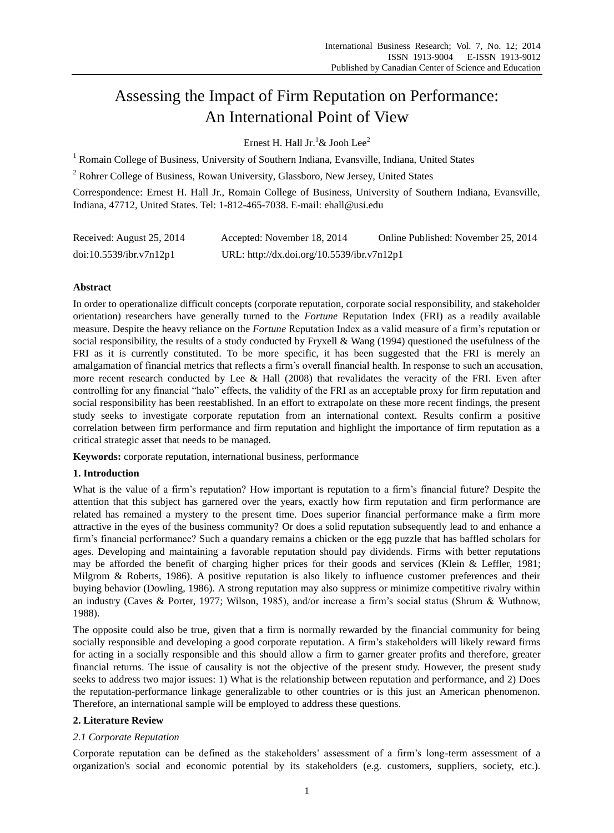# Assessing the Impact of Firm Reputation on Performance: An International Point of View

Ernest H. Hall Jr.<sup>1</sup>& Jooh Lee<sup>2</sup>

<sup>1</sup> Romain College of Business, University of Southern Indiana, Evansville, Indiana, United States

<sup>2</sup> Rohrer College of Business, Rowan University, Glassboro, New Jersey, United States

Correspondence: Ernest H. Hall Jr., Romain College of Business, University of Southern Indiana, Evansville, Indiana, 47712, United States. Tel: 1-812-465-7038. E-mail: ehall@usi.edu

| Received: August 25, 2014 | Accepted: November 18, 2014                | Online Published: November 25, 2014 |
|---------------------------|--------------------------------------------|-------------------------------------|
| doi:10.5539/ibr.v7n12p1   | URL: http://dx.doi.org/10.5539/ibr.v7n12p1 |                                     |

# **Abstract**

In order to operationalize difficult concepts (corporate reputation, corporate social responsibility, and stakeholder orientation) researchers have generally turned to the *Fortune* Reputation Index (FRI) as a readily available measure. Despite the heavy reliance on the *Fortune* Reputation Index as a valid measure of a firm's reputation or social responsibility, the results of a study conducted by Fryxell & Wang (1994) questioned the usefulness of the FRI as it is currently constituted. To be more specific, it has been suggested that the FRI is merely an amalgamation of financial metrics that reflects a firm's overall financial health. In response to such an accusation, more recent research conducted by Lee & Hall (2008) that revalidates the veracity of the FRI. Even after controlling for any financial "halo" effects, the validity of the FRI as an acceptable proxy for firm reputation and social responsibility has been reestablished. In an effort to extrapolate on these more recent findings, the present study seeks to investigate corporate reputation from an international context. Results confirm a positive correlation between firm performance and firm reputation and highlight the importance of firm reputation as a critical strategic asset that needs to be managed.

**Keywords:** corporate reputation, international business, performance

## **1. Introduction**

What is the value of a firm's reputation? How important is reputation to a firm's financial future? Despite the attention that this subject has garnered over the years, exactly how firm reputation and firm performance are related has remained a mystery to the present time. Does superior financial performance make a firm more attractive in the eyes of the business community? Or does a solid reputation subsequently lead to and enhance a firm's financial performance? Such a quandary remains a chicken or the egg puzzle that has baffled scholars for ages. Developing and maintaining a favorable reputation should pay dividends. Firms with better reputations may be afforded the benefit of charging higher prices for their goods and services (Klein & Leffler, 1981; Milgrom & Roberts, 1986). A positive reputation is also likely to influence customer preferences and their buying behavior (Dowling, 1986). A strong reputation may also suppress or minimize competitive rivalry within an industry (Caves & Porter, 1977; Wilson, 1985), and/or increase a firm's social status (Shrum & Wuthnow, 1988).

The opposite could also be true, given that a firm is normally rewarded by the financial community for being socially responsible and developing a good corporate reputation. A firm's stakeholders will likely reward firms for acting in a socially responsible and this should allow a firm to garner greater profits and therefore, greater financial returns. The issue of causality is not the objective of the present study. However, the present study seeks to address two major issues: 1) What is the relationship between reputation and performance, and 2) Does the reputation-performance linkage generalizable to other countries or is this just an American phenomenon. Therefore, an international sample will be employed to address these questions.

## **2. Literature Review**

## *2.1 Corporate Reputation*

Corporate reputation can be defined as the stakeholders' assessment of a firm's long-term assessment of a organization's social and economic potential by its stakeholders (e.g. customers, suppliers, society, etc.).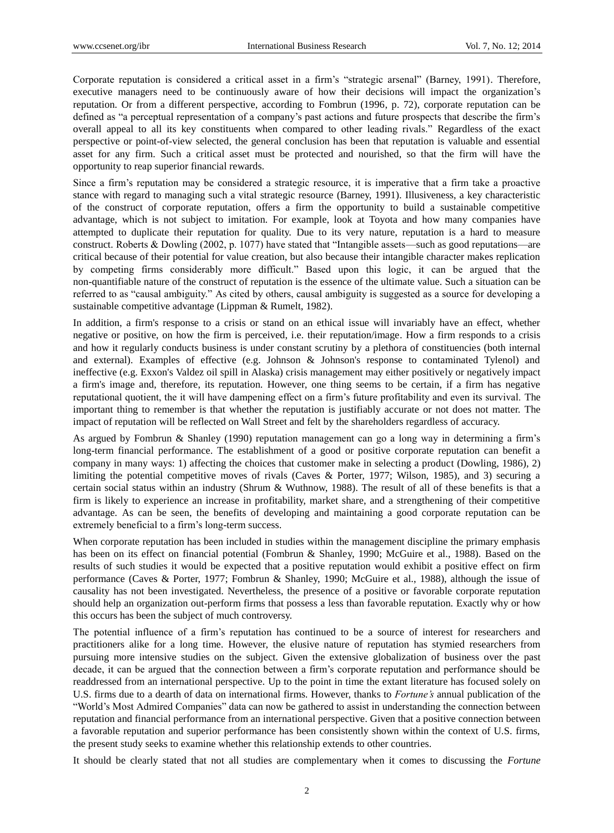Corporate reputation is considered a critical asset in a firm's "strategic arsenal" (Barney, 1991). Therefore, executive managers need to be continuously aware of how their decisions will impact the organization's reputation. Or from a different perspective, according to Fombrun (1996, p. 72), corporate reputation can be defined as "a perceptual representation of a company's past actions and future prospects that describe the firm's overall appeal to all its key constituents when compared to other leading rivals." Regardless of the exact perspective or point-of-view selected, the general conclusion has been that reputation is valuable and essential asset for any firm. Such a critical asset must be protected and nourished, so that the firm will have the opportunity to reap superior financial rewards.

Since a firm's reputation may be considered a strategic resource, it is imperative that a firm take a proactive stance with regard to managing such a vital strategic resource (Barney, 1991). Illusiveness, a key characteristic of the construct of corporate reputation, offers a firm the opportunity to build a sustainable competitive advantage, which is not subject to imitation. For example, look at Toyota and how many companies have attempted to duplicate their reputation for quality. Due to its very nature, reputation is a hard to measure construct. Roberts  $&$  Dowling (2002, p. 1077) have stated that "Intangible assets—such as good reputations—are critical because of their potential for value creation, but also because their intangible character makes replication by competing firms considerably more difficult.‖ Based upon this logic, it can be argued that the non-quantifiable nature of the construct of reputation is the essence of the ultimate value. Such a situation can be referred to as "causal ambiguity." As cited by others, causal ambiguity is suggested as a source for developing a sustainable competitive advantage (Lippman & Rumelt, 1982).

In addition, a firm's response to a crisis or stand on an ethical issue will invariably have an effect, whether negative or positive, on how the firm is perceived, i.e. their reputation/image. How a firm responds to a crisis and how it regularly conducts business is under constant scrutiny by a plethora of constituencies (both internal and external). Examples of effective (e.g. Johnson & Johnson's response to contaminated Tylenol) and ineffective (e.g. Exxon's Valdez oil spill in Alaska) crisis management may either positively or negatively impact a firm's image and, therefore, its reputation. However, one thing seems to be certain, if a firm has negative reputational quotient, the it will have dampening effect on a firm's future profitability and even its survival. The important thing to remember is that whether the reputation is justifiably accurate or not does not matter. The impact of reputation will be reflected on Wall Street and felt by the shareholders regardless of accuracy.

As argued by Fombrun & Shanley (1990) reputation management can go a long way in determining a firm's long-term financial performance. The establishment of a good or positive corporate reputation can benefit a company in many ways: 1) affecting the choices that customer make in selecting a product (Dowling, 1986), 2) limiting the potential competitive moves of rivals (Caves & Porter, 1977; Wilson, 1985), and 3) securing a certain social status within an industry (Shrum & Wuthnow, 1988). The result of all of these benefits is that a firm is likely to experience an increase in profitability, market share, and a strengthening of their competitive advantage. As can be seen, the benefits of developing and maintaining a good corporate reputation can be extremely beneficial to a firm's long-term success.

When corporate reputation has been included in studies within the management discipline the primary emphasis has been on its effect on financial potential (Fombrun & Shanley, 1990; McGuire et al., 1988). Based on the results of such studies it would be expected that a positive reputation would exhibit a positive effect on firm performance (Caves & Porter, 1977; Fombrun & Shanley, 1990; McGuire et al., 1988), although the issue of causality has not been investigated. Nevertheless, the presence of a positive or favorable corporate reputation should help an organization out-perform firms that possess a less than favorable reputation. Exactly why or how this occurs has been the subject of much controversy.

The potential influence of a firm's reputation has continued to be a source of interest for researchers and practitioners alike for a long time. However, the elusive nature of reputation has stymied researchers from pursuing more intensive studies on the subject. Given the extensive globalization of business over the past decade, it can be argued that the connection between a firm's corporate reputation and performance should be readdressed from an international perspective. Up to the point in time the extant literature has focused solely on U.S. firms due to a dearth of data on international firms. However, thanks to *Fortune's* annual publication of the ―World's Most Admired Companies‖ data can now be gathered to assist in understanding the connection between reputation and financial performance from an international perspective. Given that a positive connection between a favorable reputation and superior performance has been consistently shown within the context of U.S. firms, the present study seeks to examine whether this relationship extends to other countries.

It should be clearly stated that not all studies are complementary when it comes to discussing the *Fortune*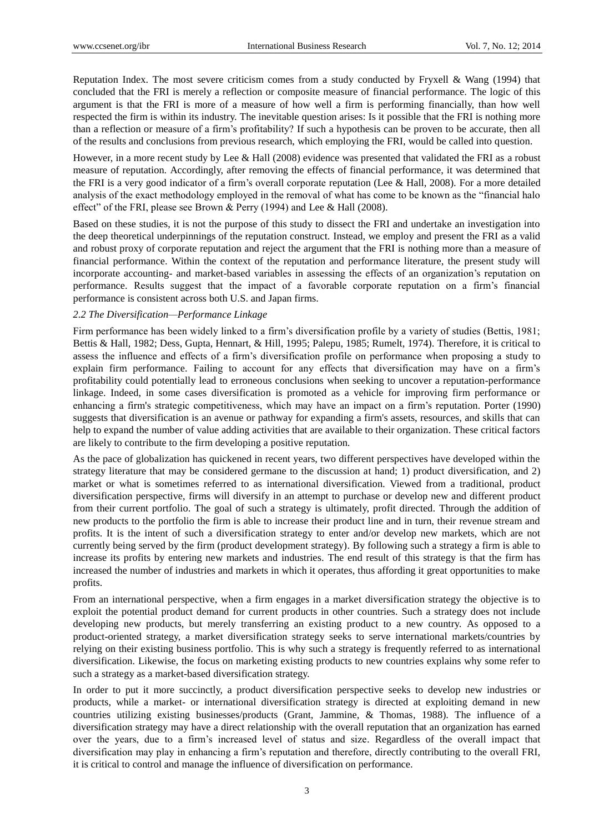Reputation Index. The most severe criticism comes from a study conducted by Fryxell & Wang (1994) that concluded that the FRI is merely a reflection or composite measure of financial performance. The logic of this argument is that the FRI is more of a measure of how well a firm is performing financially, than how well respected the firm is within its industry. The inevitable question arises: Is it possible that the FRI is nothing more than a reflection or measure of a firm's profitability? If such a hypothesis can be proven to be accurate, then all of the results and conclusions from previous research, which employing the FRI, would be called into question.

However, in a more recent study by Lee & Hall (2008) evidence was presented that validated the FRI as a robust measure of reputation. Accordingly, after removing the effects of financial performance, it was determined that the FRI is a very good indicator of a firm's overall corporate reputation (Lee & Hall, 2008). For a more detailed analysis of the exact methodology employed in the removal of what has come to be known as the "financial halo" effect" of the FRI, please see Brown & Perry (1994) and Lee & Hall (2008).

Based on these studies, it is not the purpose of this study to dissect the FRI and undertake an investigation into the deep theoretical underpinnings of the reputation construct. Instead, we employ and present the FRI as a valid and robust proxy of corporate reputation and reject the argument that the FRI is nothing more than a measure of financial performance. Within the context of the reputation and performance literature, the present study will incorporate accounting- and market-based variables in assessing the effects of an organization's reputation on performance. Results suggest that the impact of a favorable corporate reputation on a firm's financial performance is consistent across both U.S. and Japan firms.

## *2.2 The Diversification—Performance Linkage*

Firm performance has been widely linked to a firm's diversification profile by a variety of studies (Bettis, 1981; Bettis & Hall, 1982; Dess, Gupta, Hennart, & Hill, 1995; Palepu, 1985; Rumelt, 1974). Therefore, it is critical to assess the influence and effects of a firm's diversification profile on performance when proposing a study to explain firm performance. Failing to account for any effects that diversification may have on a firm's profitability could potentially lead to erroneous conclusions when seeking to uncover a reputation-performance linkage. Indeed, in some cases diversification is promoted as a vehicle for improving firm performance or enhancing a firm's strategic competitiveness, which may have an impact on a firm's reputation. Porter (1990) suggests that diversification is an avenue or pathway for expanding a firm's assets, resources, and skills that can help to expand the number of value adding activities that are available to their organization. These critical factors are likely to contribute to the firm developing a positive reputation.

As the pace of globalization has quickened in recent years, two different perspectives have developed within the strategy literature that may be considered germane to the discussion at hand; 1) product diversification, and 2) market or what is sometimes referred to as international diversification. Viewed from a traditional, product diversification perspective, firms will diversify in an attempt to purchase or develop new and different product from their current portfolio. The goal of such a strategy is ultimately, profit directed. Through the addition of new products to the portfolio the firm is able to increase their product line and in turn, their revenue stream and profits. It is the intent of such a diversification strategy to enter and/or develop new markets, which are not currently being served by the firm (product development strategy). By following such a strategy a firm is able to increase its profits by entering new markets and industries. The end result of this strategy is that the firm has increased the number of industries and markets in which it operates, thus affording it great opportunities to make profits.

From an international perspective, when a firm engages in a market diversification strategy the objective is to exploit the potential product demand for current products in other countries. Such a strategy does not include developing new products, but merely transferring an existing product to a new country. As opposed to a product-oriented strategy, a market diversification strategy seeks to serve international markets/countries by relying on their existing business portfolio. This is why such a strategy is frequently referred to as international diversification. Likewise, the focus on marketing existing products to new countries explains why some refer to such a strategy as a market-based diversification strategy.

In order to put it more succinctly, a product diversification perspective seeks to develop new industries or products, while a market- or international diversification strategy is directed at exploiting demand in new countries utilizing existing businesses/products (Grant, Jammine, & Thomas, 1988). The influence of a diversification strategy may have a direct relationship with the overall reputation that an organization has earned over the years, due to a firm's increased level of status and size. Regardless of the overall impact that diversification may play in enhancing a firm's reputation and therefore, directly contributing to the overall FRI, it is critical to control and manage the influence of diversification on performance.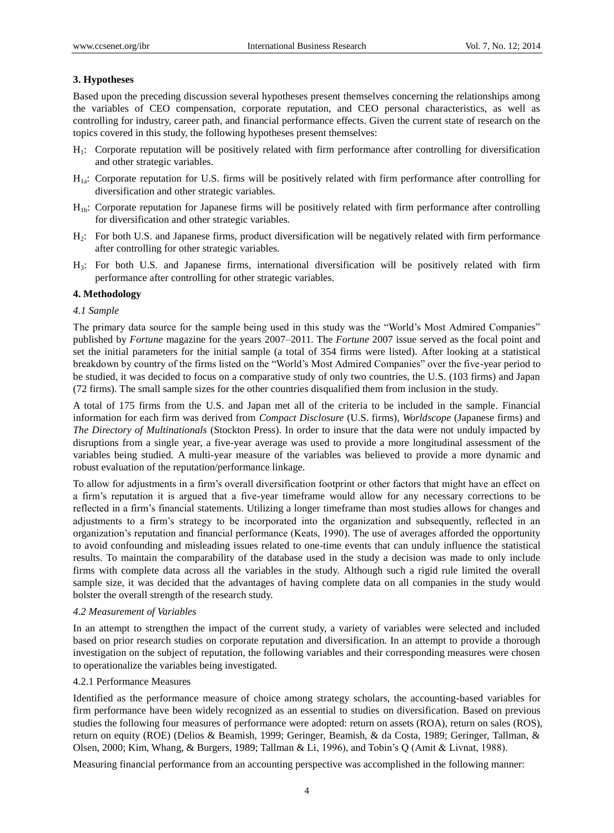## **3. Hypotheses**

Based upon the preceding discussion several hypotheses present themselves concerning the relationships among the variables of CEO compensation, corporate reputation, and CEO personal characteristics, as well as controlling for industry, career path, and financial performance effects. Given the current state of research on the topics covered in this study, the following hypotheses present themselves:

- H1: Corporate reputation will be positively related with firm performance after controlling for diversification and other strategic variables.
- H1a: Corporate reputation for U.S. firms will be positively related with firm performance after controlling for diversification and other strategic variables.
- $H_{1b}$ : Corporate reputation for Japanese firms will be positively related with firm performance after controlling for diversification and other strategic variables.
- H2: For both U.S. and Japanese firms, product diversification will be negatively related with firm performance after controlling for other strategic variables.
- H3: For both U.S. and Japanese firms, international diversification will be positively related with firm performance after controlling for other strategic variables.

#### **4. Methodology**

#### *4.1 Sample*

The primary data source for the sample being used in this study was the "World's Most Admired Companies" published by *Fortune* magazine for the years 2007–2011. The *Fortune* 2007 issue served as the focal point and set the initial parameters for the initial sample (a total of 354 firms were listed). After looking at a statistical breakdown by country of the firms listed on the "World's Most Admired Companies" over the five-year period to be studied, it was decided to focus on a comparative study of only two countries, the U.S. (103 firms) and Japan (72 firms). The small sample sizes for the other countries disqualified them from inclusion in the study.

A total of 175 firms from the U.S. and Japan met all of the criteria to be included in the sample. Financial information for each firm was derived from *Compact Disclosure* (U.S. firms), *Worldscope* (Japanese firms) and *The Directory of Multinationals* (Stockton Press). In order to insure that the data were not unduly impacted by disruptions from a single year, a five-year average was used to provide a more longitudinal assessment of the variables being studied. A multi-year measure of the variables was believed to provide a more dynamic and robust evaluation of the reputation/performance linkage.

To allow for adjustments in a firm's overall diversification footprint or other factors that might have an effect on a firm's reputation it is argued that a five-year timeframe would allow for any necessary corrections to be reflected in a firm's financial statements. Utilizing a longer timeframe than most studies allows for changes and adjustments to a firm's strategy to be incorporated into the organization and subsequently, reflected in an organization's reputation and financial performance (Keats, 1990). The use of averages afforded the opportunity to avoid confounding and misleading issues related to one-time events that can unduly influence the statistical results. To maintain the comparability of the database used in the study a decision was made to only include firms with complete data across all the variables in the study. Although such a rigid rule limited the overall sample size, it was decided that the advantages of having complete data on all companies in the study would bolster the overall strength of the research study.

#### *4.2 Measurement of Variables*

In an attempt to strengthen the impact of the current study, a variety of variables were selected and included based on prior research studies on corporate reputation and diversification. In an attempt to provide a thorough investigation on the subject of reputation, the following variables and their corresponding measures were chosen to operationalize the variables being investigated.

## 4.2.1 Performance Measures

Identified as the performance measure of choice among strategy scholars, the accounting-based variables for firm performance have been widely recognized as an essential to studies on diversification. Based on previous studies the following four measures of performance were adopted: return on assets (ROA), return on sales (ROS), return on equity (ROE) (Delios & Beamish, 1999; Geringer, Beamish, & da Costa, 1989; Geringer, Tallman, & Olsen, 2000; Kim, Whang, & Burgers, 1989; Tallman & Li, 1996), and Tobin's Q (Amit & Livnat, 1988).

Measuring financial performance from an accounting perspective was accomplished in the following manner: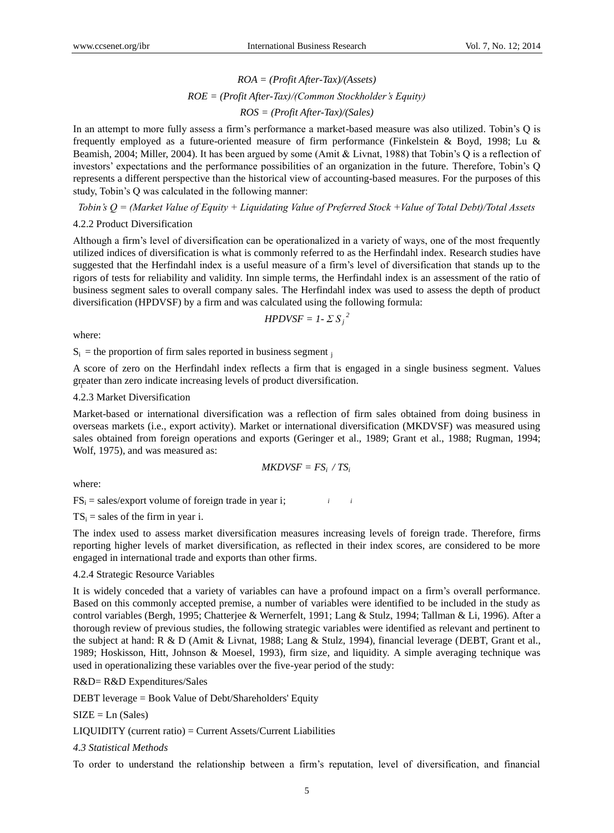*ROA = (Profit After-Tax)/(Assets) ROE = (Profit After-Tax)/(Common Stockholder's Equity) ROS = (Profit After-Tax)/(Sales)*

In an attempt to more fully assess a firm's performance a market-based measure was also utilized. Tobin's Q is frequently employed as a future-oriented measure of firm performance (Finkelstein & Boyd, 1998; Lu & Beamish, 2004; Miller, 2004). It has been argued by some (Amit & Livnat, 1988) that Tobin's Q is a reflection of investors' expectations and the performance possibilities of an organization in the future. Therefore, Tobin's Q represents a different perspective than the historical view of accounting-based measures. For the purposes of this study, Tobin's Q was calculated in the following manner:

*Tobin's Q = (Market Value of Equity + Liquidating Value of Preferred Stock +Value of Total Debt)/Total Assets*

### 4.2.2 Product Diversification

Although a firm's level of diversification can be operationalized in a variety of ways, one of the most frequently utilized indices of diversification is what is commonly referred to as the Herfindahl index. Research studies have suggested that the Herfindahl index is a useful measure of a firm's level of diversification that stands up to the rigors of tests for reliability and validity. Inn simple terms, the Herfindahl index is an assessment of the ratio of business segment sales to overall company sales. The Herfindahl index was used to assess the depth of product diversification (HPDVSF) by a firm and was calculated using the following formula:

$$
HPDVSF = 1 - \Sigma S_j^2
$$

where:

 $S_i$  = the proportion of firm sales reported in business segment  $\bar{j}$ 

greater than zero indicate increasing levels of product diversification. A score of zero on the Herfindahl index reflects a firm that is engaged in a single business segment. Values

## 4.2.3 Market Diversification

Market-based or international diversification was a reflection of firm sales obtained from doing business in overseas markets (i.e., export activity). Market or international diversification (MKDVSF) was measured using sales obtained from foreign operations and exports (Geringer et al., 1989; Grant et al., 1988; Rugman, 1994; Wolf, 1975), and was measured as:

$$
MKDVSF = FS_i \; / \; TS_i
$$

*i*

where:

*i*  $FS_i$  = sales/export volume of foreign trade in year i;

 $TS_i$  = sales of the firm in year i.

The index used to assess market diversification measures increasing levels of foreign trade. Therefore, firms reporting higher levels of market diversification, as reflected in their index scores, are considered to be more engaged in international trade and exports than other firms.

#### 4.2.4 Strategic Resource Variables

It is widely conceded that a variety of variables can have a profound impact on a firm's overall performance. Based on this commonly accepted premise, a number of variables were identified to be included in the study as control variables (Bergh, 1995; Chatterjee & Wernerfelt, 1991; Lang & Stulz, 1994; Tallman & Li, 1996). After a thorough review of previous studies, the following strategic variables were identified as relevant and pertinent to the subject at hand: R & D (Amit & Livnat, 1988; Lang & Stulz, 1994), financial leverage (DEBT, Grant et al., 1989; Hoskisson, Hitt, Johnson & Moesel, 1993), firm size, and liquidity. A simple averaging technique was used in operationalizing these variables over the five-year period of the study:

#### R&D= R&D Expenditures/Sales

DEBT leverage = Book Value of Debt/Shareholders' Equity

 $SIZE = Ln (Sales)$ 

LIQUIDITY (current ratio) = Current Assets/Current Liabilities

### *4.3 Statistical Methods*

To order to understand the relationship between a firm's reputation, level of diversification, and financial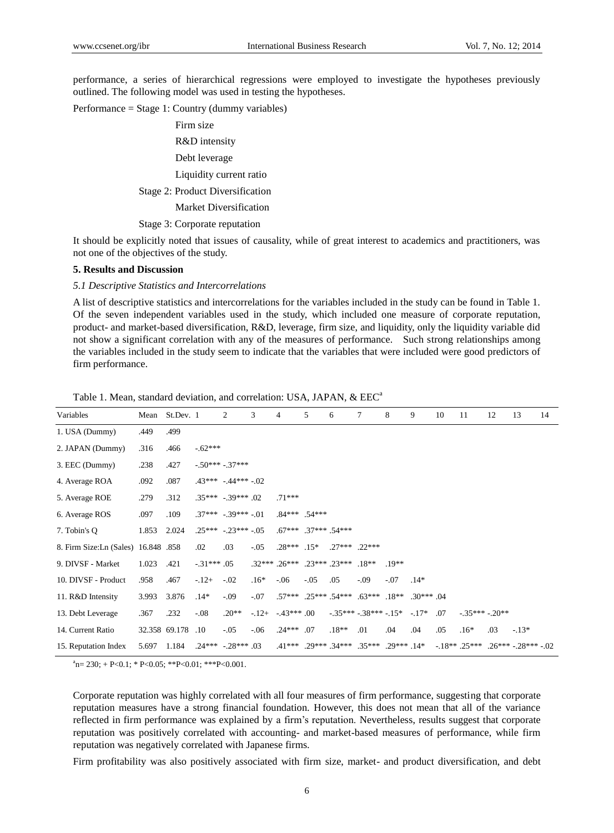performance, a series of hierarchical regressions were employed to investigate the hypotheses previously outlined. The following model was used in testing the hypotheses.

Performance = Stage 1: Country (dummy variables)

Firm size R&D intensity Debt leverage Liquidity current ratio Stage 2: Product Diversification Market Diversification Stage 3: Corporate reputation

It should be explicitly noted that issues of causality, while of great interest to academics and practitioners, was not one of the objectives of the study.

#### **5. Results and Discussion**

#### *5.1 Descriptive Statistics and Intercorrelations*

A list of descriptive statistics and intercorrelations for the variables included in the study can be found in Table 1. Of the seven independent variables used in the study, which included one measure of corporate reputation, product- and market-based diversification, R&D, leverage, firm size, and liquidity, only the liquidity variable did not show a significant correlation with any of the measures of performance. Such strong relationships among the variables included in the study seem to indicate that the variables that were included were good predictors of firm performance.

| Variables                            |       | Mean St.Dev. 1 |             | 2                         | 3      | $\overline{4}$                              | 5      | 6           | 7                                            | 8      | 9           | 10  | 11                                  | 12  | 13      | 14 |
|--------------------------------------|-------|----------------|-------------|---------------------------|--------|---------------------------------------------|--------|-------------|----------------------------------------------|--------|-------------|-----|-------------------------------------|-----|---------|----|
| 1. USA (Dummy)                       | .449  | .499           |             |                           |        |                                             |        |             |                                              |        |             |     |                                     |     |         |    |
| 2. JAPAN (Dummy)                     | .316  | .466           | $-62***$    |                           |        |                                             |        |             |                                              |        |             |     |                                     |     |         |    |
| 3. EEC (Dummy)                       | .238  | .427           |             | $-50***-37***$            |        |                                             |        |             |                                              |        |             |     |                                     |     |         |    |
| 4. Average ROA                       | .092  | .087           |             | $.43***-.44***-.02$       |        |                                             |        |             |                                              |        |             |     |                                     |     |         |    |
| 5. Average ROE                       | .279  | .312           |             | $.35***-.39***.02$        |        | $.71***$                                    |        |             |                                              |        |             |     |                                     |     |         |    |
| 6. Average ROS                       | .097  | .109           |             | $.37***$ $-.39***$ $-.01$ |        | $.84***$ 54***                              |        |             |                                              |        |             |     |                                     |     |         |    |
| 7. Tobin's Q                         | 1.853 | 2.024          |             | $.25***-.23***-.05$       |        | $.67***$ $.37***$ $.54***$                  |        |             |                                              |        |             |     |                                     |     |         |    |
| 8. Firm Size: Ln (Sales) 16.848 .858 |       |                | .02         | .03                       | $-.05$ | $.28***$ $.15*$                             |        | 27*** 22*** |                                              |        |             |     |                                     |     |         |    |
| 9. DIVSF - Market                    | 1.023 | .421           | $-31***.05$ |                           |        | $.32***$ $.26***$ $.23***$ $.23***$ $.18**$ |        |             |                                              | $19**$ |             |     |                                     |     |         |    |
| 10. DIVSF - Product                  | .958  | .467           | $-12+$      | $-.02$                    | $.16*$ | $-.06$                                      | $-.05$ | .05         | $-.09$                                       | $-.07$ | $.14*$      |     |                                     |     |         |    |
| 11. R&D Intensity                    | 3.993 | 3.876          | $.14*$      | $-.09$                    | $-.07$ |                                             |        |             | $.57***$ $.25***$ $.54***$ $.63***$ $.18***$ |        | $.30***.04$ |     |                                     |     |         |    |
| 13. Debt Leverage                    | .367  | .232           | $-.08$      | $.20**$                   | $-12+$ | $-43***.00$                                 |        |             | $-35***-38***-15*$                           |        | $-.17*$     | .07 | $-35*** - 20**$                     |     |         |    |
| 14. Current Ratio                    |       | 32.358 69.178  | .10         | $-.05$                    | $-.06$ | $.24***$ .07                                |        | $.18**$     | .01                                          | .04    | .04         | .05 | $.16*$                              | .03 | $-.13*$ |    |
| 15. Reputation Index                 | 5.697 | 1.184          |             | $.24***-.28***.03$        |        |                                             |        |             | $41***$ 29*** 34*** 35*** 29*** 14*          |        |             |     | $-18***$ .25*** .26*** -.28*** -.02 |     |         |    |

Table 1. Mean, standard deviation, and correlation: USA, JAPAN, & EEC<sup>a</sup>

 ${}^{a}n= 230; + P<0.1; * P<0.05; ** P<0.01; ** P<0.001.$ 

Corporate reputation was highly correlated with all four measures of firm performance, suggesting that corporate reputation measures have a strong financial foundation. However, this does not mean that all of the variance reflected in firm performance was explained by a firm's reputation. Nevertheless, results suggest that corporate reputation was positively correlated with accounting- and market-based measures of performance, while firm reputation was negatively correlated with Japanese firms.

Firm profitability was also positively associated with firm size, market- and product diversification, and debt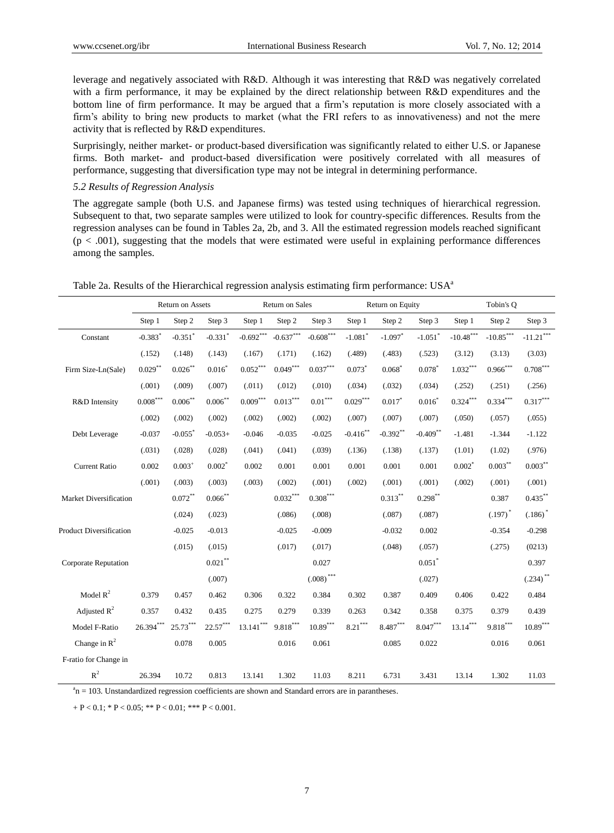leverage and negatively associated with R&D. Although it was interesting that R&D was negatively correlated with a firm performance, it may be explained by the direct relationship between R&D expenditures and the bottom line of firm performance. It may be argued that a firm's reputation is more closely associated with a firm's ability to bring new products to market (what the FRI refers to as innovativeness) and not the mere activity that is reflected by R&D expenditures.

Surprisingly, neither market- or product-based diversification was significantly related to either U.S. or Japanese firms. Both market- and product-based diversification were positively correlated with all measures of performance, suggesting that diversification type may not be integral in determining performance.

## *5.2 Results of Regression Analysis*

The aggregate sample (both U.S. and Japanese firms) was tested using techniques of hierarchical regression. Subsequent to that, two separate samples were utilized to look for country-specific differences. Results from the regression analyses can be found in Tables 2a, 2b, and 3. All the estimated regression models reached significant  $(p < .001)$ , suggesting that the models that were estimated were useful in explaining performance differences among the samples.

|                             |                       | Return on Assets      |                        | Return on Sales |                                  |                                 |                        | Return on Equity       |                        | Tobin's Q                  |                         |                                  |  |
|-----------------------------|-----------------------|-----------------------|------------------------|-----------------|----------------------------------|---------------------------------|------------------------|------------------------|------------------------|----------------------------|-------------------------|----------------------------------|--|
|                             | Step 1                | Step 2                | Step 3                 | Step 1          | Step 2                           | Step 3                          | Step 1                 | Step 2                 | Step 3                 | Step 1                     | Step 2                  | Step 3                           |  |
| Constant                    | $-0.383$ <sup>*</sup> | $-0.351$ <sup>*</sup> | $-0.331$ <sup>*</sup>  | $-0.692***$     | $\textbf{-0.637}^{\ast\ast\ast}$ | $-0.608***$                     | $-1.081$ <sup>*</sup>  | $-1.097$ <sup>*</sup>  | $-1.051$ <sup>*</sup>  | $\textbf{-10.48}^{***}$    | $\textbf{-10.85}^{***}$ | $\textbf{-11.21}^{\ast\ast\ast}$ |  |
|                             | (.152)                | (.148)                | (.143)                 | (.167)          | (.171)                           | (.162)                          | (.489)                 | (.483)                 | (.523)                 | (3.12)                     | (3.13)                  | (3.03)                           |  |
| Firm Size-Ln(Sale)          | $0.029***$            | $0.026$ **            | $0.016^{*}$            | $0.052^{***}$   | $0.049***$                       | $0.037^{\ast\ast\ast}$          | 0.073                  | $0.068^*$              | $0.078^{*}$            | $1.032\sp{*}{^\ast\sp{*}}$ | $0.966^{***}$           | $0.708^{\ast\ast\ast}$           |  |
|                             | (.001)                | (.009)                | (.007)                 | (.011)          | (.012)                           | (.010)                          | (.034)                 | (.032)                 | (.034)                 | (.252)                     | (.251)                  | (.256)                           |  |
| R&D Intensity               | $0.008***$            | $0.006***$            | $0.006***$             | $0.009^{***}\,$ | $0.013^\ast{}^{\ast}{}^{\ast}$   | $0.01***$                       | $0.029^{\ast\ast\ast}$ | $0.017$ *              | $0.016^{*}$            | $0.324^{\ast\ast\ast}$     | $0.334***$              | $0.317^{\ast\ast\ast}$           |  |
|                             | (.002)                | (.002)                | (.002)                 | (.002)          | (.002)                           | (.002)                          | (.007)                 | (.007)                 | (.007)                 | (.050)                     | (.057)                  | (.055)                           |  |
| Debt Leverage               | $-0.037$              | $-0.055$ <sup>*</sup> | $-0.053+$              | $-0.046$        | $-0.035$                         | $-0.025$                        | $-0.416**$             | $-0.392**$             | $-0.409$ <sup>**</sup> | $-1.481$                   | $-1.344$                | $-1.122$                         |  |
|                             | (.031)                | (.028)                | (.028)                 | (.041)          | (.041)                           | (.039)                          | (.136)                 | (.138)                 | (.137)                 | (1.01)                     | (1.02)                  | (.976)                           |  |
| <b>Current Ratio</b>        | 0.002                 | $0.003^{+}$           | $0.002*$               | 0.002           | 0.001                            | 0.001                           | 0.001                  | 0.001                  | 0.001                  | $0.002*$                   | $0.003***$              | $0.003***$                       |  |
|                             | (.001)                | (.003)                | (.003)                 | (.003)          | (.002)                           | (.001)                          | (.002)                 | (.001)                 | (.001)                 | (.002)                     | (.001)                  | (.001)                           |  |
| Market Diversification      |                       | $0.072***$            | $0.066$ **             |                 | $0.032***$                       | $0.308^{\ast\ast\ast}$          |                        | $0.313***$             | $0.298^{\ast\ast}$     |                            | 0.387                   | $0.435***$                       |  |
|                             |                       | (.024)                | (.023)                 |                 | (.086)                           | (.008)                          |                        | (.087)                 | (.087)                 |                            | $(.197)^*$              | $(.186)$ <sup>*</sup>            |  |
| Product Diversification     |                       | $-0.025$              | $-0.013$               |                 | $-0.025$                         | $-0.009$                        |                        | $-0.032$               | 0.002                  |                            | $-0.354$                | $-0.298$                         |  |
|                             |                       | (.015)                | (.015)                 |                 | (.017)                           | (.017)                          |                        | (.048)                 | (.057)                 |                            | (.275)                  | (0213)                           |  |
| <b>Corporate Reputation</b> |                       |                       | $0.021^{\ast\ast}$     |                 |                                  | 0.027                           |                        |                        | $0.051$ <sup>*</sup>   |                            |                         | 0.397                            |  |
|                             |                       |                       | (.007)                 |                 |                                  | $(.008)\rule{0pt}{1.1ex}^{***}$ |                        |                        | (.027)                 |                            |                         | $(.234)$ **                      |  |
| Model $R^2$                 | 0.379                 | 0.457                 | 0.462                  | 0.306           | 0.322                            | 0.384                           | 0.302                  | 0.387                  | 0.409                  | 0.406                      | 0.422                   | 0.484                            |  |
| Adjusted $R^2$              | 0.357                 | 0.432                 | 0.435                  | 0.275           | 0.279                            | 0.339                           | 0.263                  | 0.342                  | 0.358                  | 0.375                      | 0.379                   | 0.439                            |  |
| Model F-Ratio               | $26.394***$           | $25.73***$            | $22.57^{\ast\ast\ast}$ | $13.141***$     | $9.818^{\ast\ast\ast}$           | $\textbf{10.89}^{\ast\ast\ast}$ | $8.21^{\ast\ast\ast}$  | $8.487^{\ast\ast\ast}$ | $\textbf{8.047}^{***}$ | $13.14***$                 | $9.818^{\ast\ast\ast}$  | $\boldsymbol{10.89}^{***}$       |  |
| Change in $\mathbb{R}^2$    |                       | 0.078                 | 0.005                  |                 | 0.016                            | 0.061                           |                        | 0.085                  | 0.022                  |                            | 0.016                   | 0.061                            |  |
| F-ratio for Change in       |                       |                       |                        |                 |                                  |                                 |                        |                        |                        |                            |                         |                                  |  |
| $R^2$                       | 26.394                | 10.72                 | 0.813                  | 13.141          | 1.302                            | 11.03                           | 8.211                  | 6.731                  | 3.431                  | 13.14                      | 1.302                   | 11.03                            |  |

Table 2a. Results of the Hierarchical regression analysis estimating firm performance: USA<sup>a</sup>

 $a<sup>a</sup>n = 103$ . Unstandardized regression coefficients are shown and Standard errors are in parantheses.

 $+ P < 0.1$ ; \*  $P < 0.05$ ; \* \*  $P < 0.01$ ; \* \* \*  $P < 0.001$ .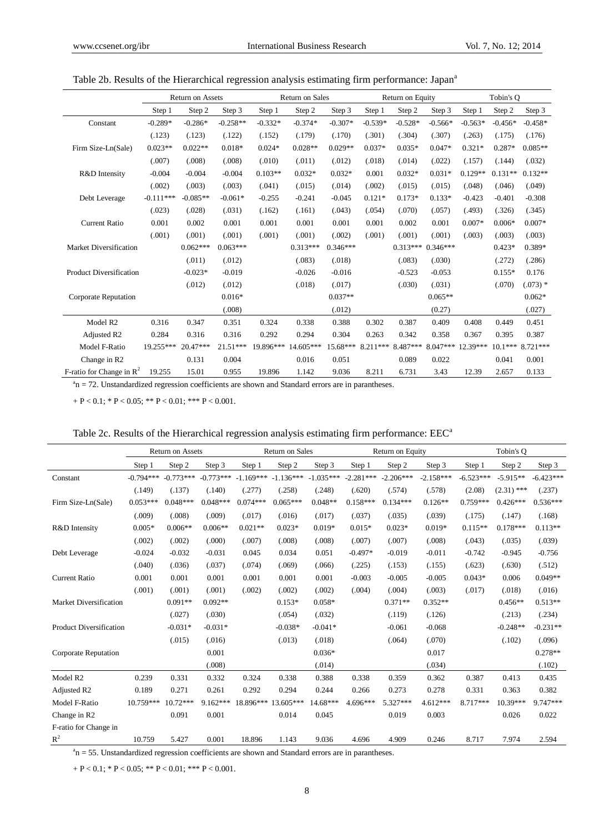|                                      |             | Return on Assets |            |           | Return on Sales |            |           | Return on Equity | Tobin's Q  |           |           |            |
|--------------------------------------|-------------|------------------|------------|-----------|-----------------|------------|-----------|------------------|------------|-----------|-----------|------------|
|                                      | Step 1      | Step 2           | Step 3     | Step 1    | Step 2          | Step 3     | Step 1    | Step 2           | Step 3     | Step 1    | Step 2    | Step 3     |
| Constant                             | $-0.289*$   | $-0.286*$        | $-0.258**$ | $-0.332*$ | $-0.374*$       | $-0.307*$  | $-0.539*$ | $-0.528*$        | $-0.566*$  | $-0.563*$ | $-0.456*$ | $-0.458*$  |
|                                      | (.123)      | (.123)           | (.122)     | (.152)    | (.179)          | (.170)     | (.301)    | (.304)           | (.307)     | (.263)    | (.175)    | (.176)     |
| Firm Size-Ln(Sale)                   | $0.023**$   | $0.022**$        | $0.018*$   | $0.024*$  | $0.028**$       | $0.029**$  | $0.037*$  | $0.035*$         | $0.047*$   | $0.321*$  | $0.287*$  | $0.085**$  |
|                                      | (.007)      | (.008)           | (.008)     | (.010)    | (.011)          | (.012)     | (.018)    | (.014)           | (.022)     | (.157)    | (.144)    | (.032)     |
| R&D Intensity                        | $-0.004$    | $-0.004$         | $-0.004$   | $0.103**$ | $0.032*$        | $0.032*$   | 0.001     | $0.032*$         | $0.031*$   | $0.129**$ | $0.131**$ | $0.132**$  |
|                                      | (.002)      | (.003)           | (.003)     | (.041)    | (.015)          | (.014)     | (.002)    | (.015)           | (.015)     | (.048)    | (.046)    | (.049)     |
| Debt Leverage                        | $-0.111***$ | $-0.085**$       | $-0.061*$  | $-0.255$  | $-0.241$        | $-0.045$   | $0.121*$  | $0.173*$         | $0.133*$   | $-0.423$  | $-0.401$  | $-0.308$   |
|                                      | (.023)      | (.028)           | (.031)     | (.162)    | (.161)          | (.043)     | (.054)    | (.070)           | (.057)     | (.493)    | (.326)    | (.345)     |
| <b>Current Ratio</b>                 | 0.001       | 0.002            | 0.001      | 0.001     | 0.001           | 0.001      | 0.001     | 0.002            | 0.001      | $0.007*$  | $0.006*$  | $0.007*$   |
|                                      | (.001)      | (.001)           | (.001)     | (.001)    | (.001)          | (.002)     | (.001)    | (.001)           | (.001)     | (.003)    | (.003)    | (.003)     |
| Market Diversification               |             | $0.062***$       | $0.063***$ |           | $0.313***$      | $0.346***$ |           | $0.313***$       | $0.346***$ |           | $0.423*$  | 0.389*     |
|                                      |             | (.011)           | (.012)     |           | (.083)          | (.018)     |           | (.083)           | (.030)     |           | (.272)    | (.286)     |
| <b>Product Diversification</b>       |             | $-0.023*$        | $-0.019$   |           | $-0.026$        | $-0.016$   |           | $-0.523$         | $-0.053$   |           | $0.155*$  | 0.176      |
|                                      |             | (.012)           | (.012)     |           | (.018)          | (.017)     |           | (.030)           | (.031)     |           | (.070)    | $(.073)$ * |
| Corporate Reputation                 |             |                  | $0.016*$   |           |                 | $0.037**$  |           |                  | $0.065**$  |           |           | $0.062*$   |
|                                      |             |                  | (.008)     |           |                 | (.012)     |           |                  | (0.27)     |           |           | (.027)     |
| Model R <sub>2</sub>                 | 0.316       | 0.347            | 0.351      | 0.324     | 0.338           | 0.388      | 0.302     | 0.387            | 0.409      | 0.408     | 0.449     | 0.451      |
| Adjusted R2                          | 0.284       | 0.316            | 0.316      | 0.292     | 0.294           | 0.304      | 0.263     | 0.342            | 0.358      | 0.367     | 0.395     | 0.387      |
| Model F-Ratio                        | 19.255***   | 20.47***         | $21.51***$ | 19.896*** | 14.605***       | 15.68***   | 8.211***  | 8.487***         | 8.047***   | 12.39***  | $10.1***$ | $8.721***$ |
| Change in R2                         |             | 0.131            | 0.004      |           | 0.016           | 0.051      |           | 0.089            | 0.022      |           | 0.041     | 0.001      |
| F-ratio for Change in $\mathbb{R}^2$ | 19.255      | 15.01            | 0.955      | 19.896    | 1.142           | 9.036      | 8.211     | 6.731            | 3.43       | 12.39     | 2.657     | 0.133      |

# Table 2b. Results of the Hierarchical regression analysis estimating firm performance: Japan<sup>a</sup>

 $a<sup>a</sup>n = 72$ . Unstandardized regression coefficients are shown and Standard errors are in parantheses.

 $+ P < 0.1$ ; \*  $P < 0.05$ ; \*\*  $P < 0.01$ ; \*\*\*  $P < 0.001$ .

# Table 2c. Results of the Hierarchical regression analysis estimating firm performance: EEC<sup>a</sup>

|                                | Return on Assets |             |             |             | Return on Sales |             |             | Return on Equity |             |             | Tobin's O    |             |  |  |
|--------------------------------|------------------|-------------|-------------|-------------|-----------------|-------------|-------------|------------------|-------------|-------------|--------------|-------------|--|--|
|                                | Step 1           | Step 2      | Step 3      | Step 1      | Step 2          | Step 3      | Step 1      | Step 2           | Step 3      | Step 1      | Step 2       | Step 3      |  |  |
| Constant                       | $-0.794***$      | $-0.773***$ | $-0.773***$ | $-1.169***$ | $-1.136***$     | $-1.035***$ | $-2.281***$ | $-2.206***$      | $-2.158***$ | $-6.523***$ | $-5.915**$   | $-6.423***$ |  |  |
|                                | (.149)           | (.137)      | (.140)      | (.277)      | (.258)          | (.248)      | (.620)      | (.574)           | (.578)      | (2.08)      | $(2.31)$ *** | (.237)      |  |  |
| Firm Size-Ln(Sale)             | $0.053***$       | $0.048***$  | $0.048***$  | $0.074***$  | $0.065***$      | $0.048**$   | $0.158***$  | $0.134***$       | $0.126**$   | $0.759***$  | $0.426***$   | $0.536***$  |  |  |
|                                | (.009)           | (.008)      | (.009)      | (.017)      | (.016)          | (.017)      | (.037)      | (.035)           | (.039)      | (.175)      | (.147)       | (.168)      |  |  |
| R&D Intensity                  | $0.005*$         | $0.006**$   | $0.006**$   | $0.021**$   | $0.023*$        | $0.019*$    | $0.015*$    | $0.023*$         | $0.019*$    | $0.115**$   | $0.178***$   | $0.113**$   |  |  |
|                                | (.002)           | (.002)      | (.000)      | (.007)      | (.008)          | (.008)      | (.007)      | (.007)           | (.008)      | (.043)      | (.035)       | (.039)      |  |  |
| Debt Leverage                  | $-0.024$         | $-0.032$    | $-0.031$    | 0.045       | 0.034           | 0.051       | $-0.497*$   | $-0.019$         | $-0.011$    | $-0.742$    | $-0.945$     | $-0.756$    |  |  |
|                                | (.040)           | (.036)      | (.037)      | (.074)      | (.069)          | (.066)      | (.225)      | (.153)           | (.155)      | (.623)      | (.630)       | (.512)      |  |  |
| <b>Current Ratio</b>           | 0.001            | 0.001       | 0.001       | 0.001       | 0.001           | 0.001       | $-0.003$    | $-0.005$         | $-0.005$    | $0.043*$    | 0.006        | $0.049**$   |  |  |
|                                | (.001)           | (.001)      | (.001)      | (.002)      | (.002)          | (.002)      | (.004)      | (.004)           | (.003)      | (.017)      | (.018)       | (.016)      |  |  |
| Market Diversification         |                  | $0.091**$   | $0.092**$   |             | $0.153*$        | $0.058*$    |             | $0.371**$        | $0.352**$   |             | $0.456**$    | $0.513**$   |  |  |
|                                |                  | (.027)      | (.030)      |             | (.054)          | (.032)      |             | (.119)           | (.126)      |             | (.213)       | (.234)      |  |  |
| <b>Product Diversification</b> |                  | $-0.031*$   | $-0.031*$   |             | $-0.038*$       | $-0.041*$   |             | $-0.061$         | $-0.068$    |             | $-0.248**$   | $-0.231**$  |  |  |
|                                |                  | (.015)      | (.016)      |             | (.013)          | (.018)      |             | (.064)           | (.070)      |             | (.102)       | (.096)      |  |  |
| <b>Corporate Reputation</b>    |                  |             | 0.001       |             |                 | $0.036*$    |             |                  | 0.017       |             |              | $0.278**$   |  |  |
|                                |                  |             | (.008)      |             |                 | (.014)      |             |                  | (.034)      |             |              | (.102)      |  |  |
| Model R2                       | 0.239            | 0.331       | 0.332       | 0.324       | 0.338           | 0.388       | 0.338       | 0.359            | 0.362       | 0.387       | 0.413        | 0.435       |  |  |
| Adjusted R <sub>2</sub>        | 0.189            | 0.271       | 0.261       | 0.292       | 0.294           | 0.244       | 0.266       | 0.273            | 0.278       | 0.331       | 0.363        | 0.382       |  |  |
| Model F-Ratio                  | 10.759***        | 10.72***    | 9.162***    | 18.896***   | 13.605***       | 14.68***    | 4.696***    | 5.327***         | $4.612***$  | 8.717***    | $10.39***$   | 9.747***    |  |  |
| Change in R2                   |                  | 0.091       | 0.001       |             | 0.014           | 0.045       |             | 0.019            | 0.003       |             | 0.026        | 0.022       |  |  |
| F-ratio for Change in          |                  |             |             |             |                 |             |             |                  |             |             |              |             |  |  |
| $R^2$                          | 10.759           | 5.427       | 0.001       | 18.896      | 1.143           | 9.036       | 4.696       | 4.909            | 0.246       | 8.717       | 7.974        | 2.594       |  |  |

 $a<sup>a</sup>n = 55$ . Unstandardized regression coefficients are shown and Standard errors are in parantheses.

 $+ P < 0.1$ ; \*  $P < 0.05$ ; \* \*  $P < 0.01$ ; \* \* \*  $P < 0.001$ .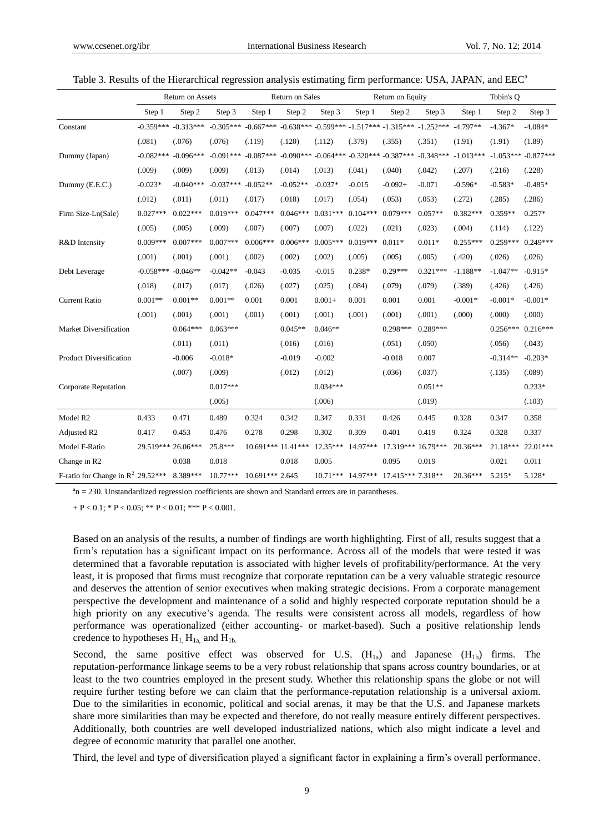|                                               |             | Return on Sales<br>Return on Assets<br>Return on Equity |             |                                                                                     |            | Tobin's Q  |                   |                                                 |             |             |            |                      |
|-----------------------------------------------|-------------|---------------------------------------------------------|-------------|-------------------------------------------------------------------------------------|------------|------------|-------------------|-------------------------------------------------|-------------|-------------|------------|----------------------|
|                                               | Step 1      | Step 2                                                  | Step 3      | Step 1                                                                              | Step 2     | Step 3     | Step 1            | Step 2                                          | Step 3      | Step 1      | Step 2     | Step 3               |
| Constant                                      |             | $-0.359***$ $-0.313***$                                 |             | $-0.305***$ $-0.667***$ $-0.638***$ $-0.599***$ $-1.517***$ $-1.315***$ $-1.252***$ |            |            |                   |                                                 |             | $-4.797**$  | $-4.367*$  | $-4.084*$            |
|                                               | (.081)      | (.076)                                                  | (.076)      | (.119)                                                                              | (.120)     | (.112)     | (.379)            | (.355)                                          | (.351)      | (1.91)      | (1.91)     | (1.89)               |
| Dummy (Japan)                                 | $-0.082***$ | $-0.096***$                                             |             | $-0.091***$ $-0.087***$                                                             |            |            |                   | $-0.090***$ $-0.064***$ $-0.320***$ $-0.387***$ | $-0.348***$ | $-1.013***$ |            | $-1.053***-0.877***$ |
|                                               | (.009)      | (.009)                                                  | (.009)      | (.013)                                                                              | (.014)     | (.013)     | (.041)            | (.040)                                          | (.042)      | (.207)      | (.216)     | (.228)               |
| Dummy (E.E.C.)                                | $-0.023*$   | $-0.040***$                                             | $-0.037***$ | $-0.052**$                                                                          | $-0.052**$ | $-0.037*$  | $-0.015$          | $-0.092+$                                       | $-0.071$    | $-0.596*$   | $-0.583*$  | $-0.485*$            |
|                                               | (.012)      | (.011)                                                  | (.011)      | (.017)                                                                              | (.018)     | (.017)     | (.054)            | (.053)                                          | (.053)      | (.272)      | (.285)     | (.286)               |
| Firm Size-Ln(Sale)                            | $0.027***$  | $0.022***$                                              | $0.019***$  | $0.047***$                                                                          | $0.046***$ | $0.031***$ | $0.104***$        | $0.079***$                                      | $0.057**$   | $0.382***$  | $0.359**$  | $0.257*$             |
|                                               | (.005)      | (.005)                                                  | (.009)      | (.007)                                                                              | (.007)     | (.007)     | (.022)            | (.021)                                          | (.023)      | (.004)      | (.114)     | (.122)               |
| R&D Intensity                                 | $0.009***$  | $0.007***$                                              | $0.007***$  | $0.006***$                                                                          | $0.006***$ | $0.005***$ | $0.019***$        | $0.011*$                                        | $0.011*$    | $0.255***$  | $0.259***$ | $0.249***$           |
|                                               | (.001)      | (.001)                                                  | (.001)      | (.002)                                                                              | (.002)     | (.002)     | (.005)            | (.005)                                          | (.005)      | (.420)      | (.026)     | (.026)               |
| Debt Leverage                                 | $-0.058***$ | $-0.046**$                                              | $-0.042**$  | $-0.043$                                                                            | $-0.035$   | $-0.015$   | 0.238*            | $0.29***$                                       | $0.321***$  | $-1.188**$  | $-1.047**$ | $-0.915*$            |
|                                               | (.018)      | (.017)                                                  | (.017)      | (.026)                                                                              | (.027)     | (.025)     | (.084)            | (.079)                                          | (.079)      | (.389)      | (.426)     | (.426)               |
| <b>Current Ratio</b>                          | $0.001**$   | $0.001**$                                               | $0.001**$   | 0.001                                                                               | 0.001      | $0.001+$   | 0.001             | 0.001                                           | 0.001       | $-0.001*$   | $-0.001*$  | $-0.001*$            |
|                                               | (.001)      | (.001)                                                  | (.001)      | (.001)                                                                              | (.001)     | (.001)     | (.001)            | (.001)                                          | (.001)      | (.000)      | (.000)     | (.000)               |
| Market Diversification                        |             | $0.064***$                                              | $0.063***$  |                                                                                     | $0.045**$  | $0.046**$  |                   | $0.298***$                                      | $0.289***$  |             | $0.256***$ | $0.216***$           |
|                                               |             | (.011)                                                  | (.011)      |                                                                                     | (.016)     | (.016)     |                   | (.051)                                          | (.050)      |             | (.056)     | (.043)               |
| <b>Product Diversification</b>                |             | $-0.006$                                                | $-0.018*$   |                                                                                     | $-0.019$   | $-0.002$   |                   | $-0.018$                                        | 0.007       |             | $-0.314**$ | $-0.203*$            |
|                                               |             | (.007)                                                  | (.009)      |                                                                                     | (.012)     | (.012)     |                   | (.036)                                          | (.037)      |             | (.135)     | (.089)               |
| Corporate Reputation                          |             |                                                         | $0.017***$  |                                                                                     |            | $0.034***$ |                   |                                                 | $0.051**$   |             |            | $0.233*$             |
|                                               |             |                                                         | (.005)      |                                                                                     |            | (.006)     |                   |                                                 | (.019)      |             |            | (.103)               |
| Model R <sub>2</sub>                          | 0.433       | 0.471                                                   | 0.489       | 0.324                                                                               | 0.342      | 0.347      | 0.331             | 0.426                                           | 0.445       | 0.328       | 0.347      | 0.358                |
| Adjusted R2                                   | 0.417       | 0.453                                                   | 0.476       | 0.278                                                                               | 0.298      | 0.302      | 0.309             | 0.401                                           | 0.419       | 0.324       | 0.328      | 0.337                |
| Model F-Ratio                                 | 29.519***   | 26.06***                                                | 25.8***     | 10.691*** 11.41***                                                                  |            | 12.35***   | 14.97***          | 17.319*** 16.79***                              |             | $20.36***$  | 21.18***   | $22.01***$           |
| Change in R2                                  |             | 0.038                                                   | 0.018       |                                                                                     | 0.018      | 0.005      |                   | 0.095                                           | 0.019       |             | 0.021      | 0.011                |
| F-ratio for Change in $R^2$ 29.52*** 8.389*** |             |                                                         | $10.77***$  | 10.691*** 2.645                                                                     |            |            | 10.71*** 14.97*** | 17.415*** 7.318**                               |             | 20.36***    | 5.215*     | 5.128*               |

Table 3. Results of the Hierarchical regression analysis estimating firm performance: USA, JAPAN, and EEC<sup>a</sup>

 $a<sup>a</sup>n = 230$ . Unstandardized regression coefficients are shown and Standard errors are in parantheses.

 $+ P < 0.1$ ; \*  $P < 0.05$ ; \* \*  $P < 0.01$ ; \* \* \*  $P < 0.001$ .

Based on an analysis of the results, a number of findings are worth highlighting. First of all, results suggest that a firm's reputation has a significant impact on its performance. Across all of the models that were tested it was determined that a favorable reputation is associated with higher levels of profitability/performance. At the very least, it is proposed that firms must recognize that corporate reputation can be a very valuable strategic resource and deserves the attention of senior executives when making strategic decisions. From a corporate management perspective the development and maintenance of a solid and highly respected corporate reputation should be a high priority on any executive's agenda. The results were consistent across all models, regardless of how performance was operationalized (either accounting- or market-based). Such a positive relationship lends credence to hypotheses  $H_1$ ,  $H_{1a}$ , and  $H_{1b}$ .

Second, the same positive effect was observed for U.S.  $(H_{1a})$  and Japanese  $(H_{1b})$  firms. The reputation-performance linkage seems to be a very robust relationship that spans across country boundaries, or at least to the two countries employed in the present study. Whether this relationship spans the globe or not will require further testing before we can claim that the performance-reputation relationship is a universal axiom. Due to the similarities in economic, political and social arenas, it may be that the U.S. and Japanese markets share more similarities than may be expected and therefore, do not really measure entirely different perspectives. Additionally, both countries are well developed industrialized nations, which also might indicate a level and degree of economic maturity that parallel one another.

Third, the level and type of diversification played a significant factor in explaining a firm's overall performance.

9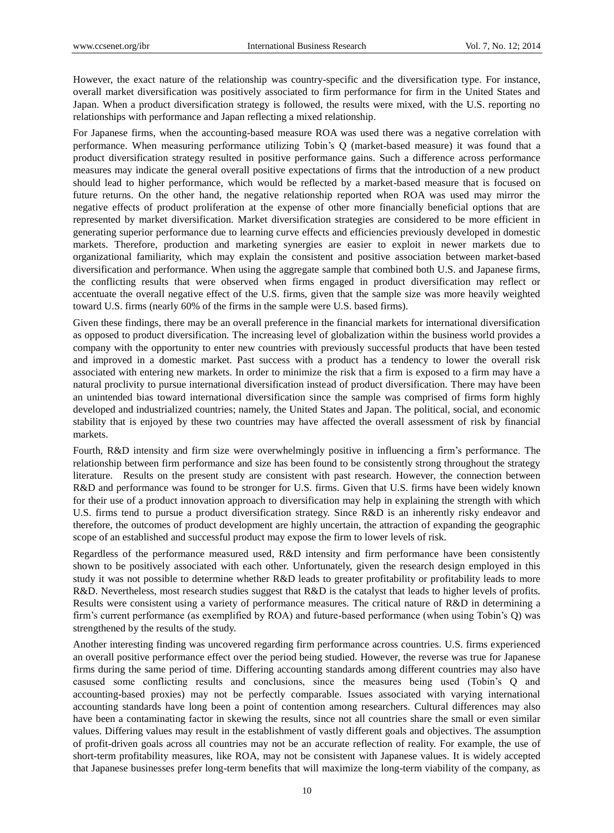However, the exact nature of the relationship was country-specific and the diversification type. For instance, overall market diversification was positively associated to firm performance for firm in the United States and Japan. When a product diversification strategy is followed, the results were mixed, with the U.S. reporting no relationships with performance and Japan reflecting a mixed relationship.

For Japanese firms, when the accounting-based measure ROA was used there was a negative correlation with performance. When measuring performance utilizing Tobin's Q (market-based measure) it was found that a product diversification strategy resulted in positive performance gains. Such a difference across performance measures may indicate the general overall positive expectations of firms that the introduction of a new product should lead to higher performance, which would be reflected by a market-based measure that is focused on future returns. On the other hand, the negative relationship reported when ROA was used may mirror the negative effects of product proliferation at the expense of other more financially beneficial options that are represented by market diversification. Market diversification strategies are considered to be more efficient in generating superior performance due to learning curve effects and efficiencies previously developed in domestic markets. Therefore, production and marketing synergies are easier to exploit in newer markets due to organizational familiarity, which may explain the consistent and positive association between market-based diversification and performance. When using the aggregate sample that combined both U.S. and Japanese firms, the conflicting results that were observed when firms engaged in product diversification may reflect or accentuate the overall negative effect of the U.S. firms, given that the sample size was more heavily weighted toward U.S. firms (nearly 60% of the firms in the sample were U.S. based firms).

Given these findings, there may be an overall preference in the financial markets for international diversification as opposed to product diversification. The increasing level of globalization within the business world provides a company with the opportunity to enter new countries with previously successful products that have been tested and improved in a domestic market. Past success with a product has a tendency to lower the overall risk associated with entering new markets. In order to minimize the risk that a firm is exposed to a firm may have a natural proclivity to pursue international diversification instead of product diversification. There may have been an unintended bias toward international diversification since the sample was comprised of firms form highly developed and industrialized countries; namely, the United States and Japan. The political, social, and economic stability that is enjoyed by these two countries may have affected the overall assessment of risk by financial markets.

Fourth, R&D intensity and firm size were overwhelmingly positive in influencing a firm's performance. The relationship between firm performance and size has been found to be consistently strong throughout the strategy literature. Results on the present study are consistent with past research. However, the connection between R&D and performance was found to be stronger for U.S. firms. Given that U.S. firms have been widely known for their use of a product innovation approach to diversification may help in explaining the strength with which U.S. firms tend to pursue a product diversification strategy. Since R&D is an inherently risky endeavor and therefore, the outcomes of product development are highly uncertain, the attraction of expanding the geographic scope of an established and successful product may expose the firm to lower levels of risk.

Regardless of the performance measured used, R&D intensity and firm performance have been consistently shown to be positively associated with each other. Unfortunately, given the research design employed in this study it was not possible to determine whether R&D leads to greater profitability or profitability leads to more R&D. Nevertheless, most research studies suggest that R&D is the catalyst that leads to higher levels of profits. Results were consistent using a variety of performance measures. The critical nature of R&D in determining a firm's current performance (as exemplified by ROA) and future-based performance (when using Tobin's Q) was strengthened by the results of the study.

Another interesting finding was uncovered regarding firm performance across countries. U.S. firms experienced an overall positive performance effect over the period being studied. However, the reverse was true for Japanese firms during the same period of time. Differing accounting standards among different countries may also have casused some conflicting results and conclusions, since the measures being used (Tobin's Q and accounting-based proxies) may not be perfectly comparable. Issues associated with varying international accounting standards have long been a point of contention among researchers. Cultural differences may also have been a contaminating factor in skewing the results, since not all countries share the small or even similar values. Differing values may result in the establishment of vastly different goals and objectives. The assumption of profit-driven goals across all countries may not be an accurate reflection of reality. For example, the use of short-term profitability measures, like ROA, may not be consistent with Japanese values. It is widely accepted that Japanese businesses prefer long-term benefits that will maximize the long-term viability of the company, as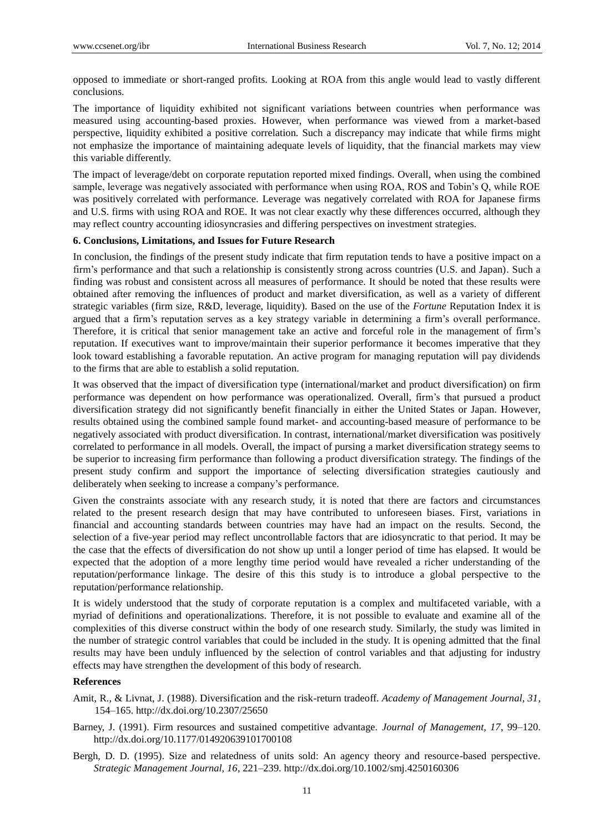opposed to immediate or short-ranged profits. Looking at ROA from this angle would lead to vastly different conclusions.

The importance of liquidity exhibited not significant variations between countries when performance was measured using accounting-based proxies. However, when performance was viewed from a market-based perspective, liquidity exhibited a positive correlation. Such a discrepancy may indicate that while firms might not emphasize the importance of maintaining adequate levels of liquidity, that the financial markets may view this variable differently.

The impact of leverage/debt on corporate reputation reported mixed findings. Overall, when using the combined sample, leverage was negatively associated with performance when using ROA, ROS and Tobin's Q, while ROE was positively correlated with performance. Leverage was negatively correlated with ROA for Japanese firms and U.S. firms with using ROA and ROE. It was not clear exactly why these differences occurred, although they may reflect country accounting idiosyncrasies and differing perspectives on investment strategies.

#### **6. Conclusions, Limitations, and Issues for Future Research**

In conclusion, the findings of the present study indicate that firm reputation tends to have a positive impact on a firm's performance and that such a relationship is consistently strong across countries (U.S. and Japan). Such a finding was robust and consistent across all measures of performance. It should be noted that these results were obtained after removing the influences of product and market diversification, as well as a variety of different strategic variables (firm size, R&D, leverage, liquidity). Based on the use of the *Fortune* Reputation Index it is argued that a firm's reputation serves as a key strategy variable in determining a firm's overall performance. Therefore, it is critical that senior management take an active and forceful role in the management of firm's reputation. If executives want to improve/maintain their superior performance it becomes imperative that they look toward establishing a favorable reputation. An active program for managing reputation will pay dividends to the firms that are able to establish a solid reputation.

It was observed that the impact of diversification type (international/market and product diversification) on firm performance was dependent on how performance was operationalized. Overall, firm's that pursued a product diversification strategy did not significantly benefit financially in either the United States or Japan. However, results obtained using the combined sample found market- and accounting-based measure of performance to be negatively associated with product diversification. In contrast, international/market diversification was positively correlated to performance in all models. Overall, the impact of pursing a market diversification strategy seems to be superior to increasing firm performance than following a product diversification strategy. The findings of the present study confirm and support the importance of selecting diversification strategies cautiously and deliberately when seeking to increase a company's performance.

Given the constraints associate with any research study, it is noted that there are factors and circumstances related to the present research design that may have contributed to unforeseen biases. First, variations in financial and accounting standards between countries may have had an impact on the results. Second, the selection of a five-year period may reflect uncontrollable factors that are idiosyncratic to that period. It may be the case that the effects of diversification do not show up until a longer period of time has elapsed. It would be expected that the adoption of a more lengthy time period would have revealed a richer understanding of the reputation/performance linkage. The desire of this this study is to introduce a global perspective to the reputation/performance relationship.

It is widely understood that the study of corporate reputation is a complex and multifaceted variable, with a myriad of definitions and operationalizations. Therefore, it is not possible to evaluate and examine all of the complexities of this diverse construct within the body of one research study. Similarly, the study was limited in the number of strategic control variables that could be included in the study. It is opening admitted that the final results may have been unduly influenced by the selection of control variables and that adjusting for industry effects may have strengthen the development of this body of research.

#### **References**

- Amit, R., & Livnat, J. (1988). Diversification and the risk-return tradeoff. *Academy of Management Journal, 31*, 154–165. http://dx.doi.org/10.2307/25650
- Barney, J. (1991). Firm resources and sustained competitive advantage. *Journal of Management, 17*, 99–120. http://dx.doi.org/10.1177/014920639101700108
- Bergh, D. D. (1995). Size and relatedness of units sold: An agency theory and resource-based perspective. *Strategic Management Journal, 16*, 221–239. http://dx.doi.org/10.1002/smj.4250160306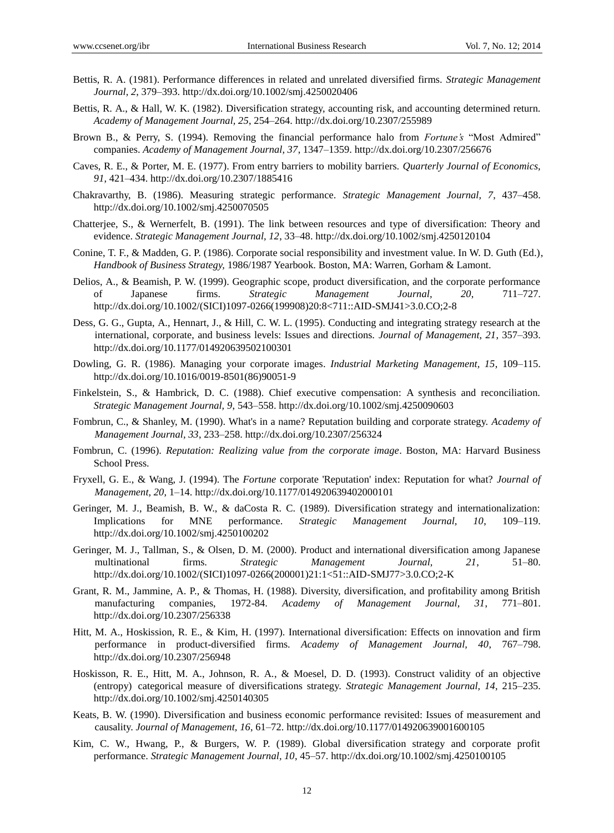- Bettis, R. A. (1981). Performance differences in related and unrelated diversified firms. *Strategic Management Journal, 2*, 379–393. http://dx.doi.org/10.1002/smj.4250020406
- Bettis, R. A., & Hall, W. K. (1982). Diversification strategy, accounting risk, and accounting determined return. *Academy of Management Journal, 25*, 254–264. http://dx.doi.org/10.2307/255989
- Brown B., & Perry, S. (1994). Removing the financial performance halo from *Fortune's* "Most Admired" companies. *Academy of Management Journal, 37*, 1347–1359. http://dx.doi.org/10.2307/256676
- Caves, R. E., & Porter, M. E. (1977). From entry barriers to mobility barriers. *Quarterly Journal of Economics, 91*, 421–434. http://dx.doi.org/10.2307/1885416
- Chakravarthy, B. (1986). Measuring strategic performance. *Strategic Management Journal, 7*, 437–458. http://dx.doi.org/10.1002/smj.4250070505
- Chatterjee, S., & Wernerfelt, B. (1991). The link between resources and type of diversification: Theory and evidence. *Strategic Management Journal, 12*, 33–48. http://dx.doi.org/10.1002/smj.4250120104
- Conine, T. F., & Madden, G. P. (1986). Corporate social responsibility and investment value. In W. D. Guth (Ed.), *Handbook of Business Strategy,* 1986/1987 Yearbook. Boston, MA: Warren, Gorham & Lamont.
- Delios, A., & Beamish, P. W. (1999). Geographic scope, product diversification, and the corporate performance of Japanese firms. *Strategic Management Journal, 20*, 711–727. http://dx.doi.org/10.1002/(SICI)1097-0266(199908)20:8<711::AID-SMJ41>3.0.CO;2-8
- Dess, G. G., Gupta, A., Hennart, J., & Hill, C. W. L. (1995). Conducting and integrating strategy research at the international, corporate, and business levels: Issues and directions. *Journal of Management, 21*, 357–393. http://dx.doi.org/10.1177/014920639502100301
- Dowling, G. R. (1986). Managing your corporate images. *Industrial Marketing Management, 15*, 109–115. http://dx.doi.org/10.1016/0019-8501(86)90051-9
- Finkelstein, S., & Hambrick, D. C. (1988). Chief executive compensation: A synthesis and reconciliation. *Strategic Management Journal, 9*, 543–558. http://dx.doi.org/10.1002/smj.4250090603
- Fombrun, C., & Shanley, M. (1990). What's in a name? Reputation building and corporate strategy. *Academy of Management Journal, 33*, 233–258. http://dx.doi.org/10.2307/256324
- Fombrun, C. (1996). *Reputation: Realizing value from the corporate image*. Boston, MA: Harvard Business School Press.
- Fryxell, G. E., & Wang, J. (1994). The *Fortune* corporate 'Reputation' index: Reputation for what? *Journal of Management, 20*, 1–14. http://dx.doi.org/10.1177/014920639402000101
- Geringer, M. J., Beamish, B. W., & daCosta R. C. (1989). Diversification strategy and internationalization: Implications for MNE performance. *Strategic Management Journal, 10*, 109–119. http://dx.doi.org/10.1002/smj.4250100202
- Geringer, M. J., Tallman, S., & Olsen, D. M. (2000). Product and international diversification among Japanese multinational firms. *Strategic Management Journal, 21*, 51–80. http://dx.doi.org/10.1002/(SICI)1097-0266(200001)21:1<51::AID-SMJ77>3.0.CO;2-K
- Grant, R. M., Jammine, A. P., & Thomas, H. (1988). Diversity, diversification, and profitability among British manufacturing companies, 1972-84. *Academy of Management Journal, 31*, 771–801. http://dx.doi.org/10.2307/256338
- Hitt, M. A., Hoskission, R. E., & Kim, H. (1997). International diversification: Effects on innovation and firm performance in product-diversified firms. *Academy of Management Journal, 40*, 767–798. http://dx.doi.org/10.2307/256948
- Hoskisson, R. E., Hitt, M. A., Johnson, R. A., & Moesel, D. D. (1993). Construct validity of an objective (entropy) categorical measure of diversifications strategy. *Strategic Management Journal, 14*, 215–235. http://dx.doi.org/10.1002/smj.4250140305
- Keats, B. W. (1990). Diversification and business economic performance revisited: Issues of measurement and causality. *Journal of Management, 16*, 61–72. http://dx.doi.org/10.1177/014920639001600105
- Kim, C. W., Hwang, P., & Burgers, W. P. (1989). Global diversification strategy and corporate profit performance. *Strategic Management Journal, 10*, 45–57. http://dx.doi.org/10.1002/smj.4250100105